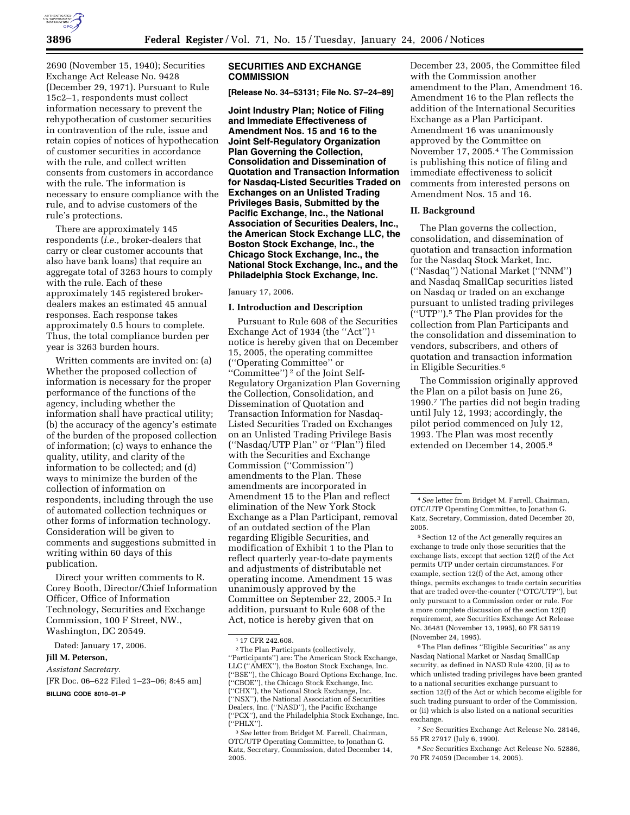

2690 (November 15, 1940); Securities Exchange Act Release No. 9428 (December 29, 1971). Pursuant to Rule 15c2–1, respondents must collect information necessary to prevent the rehypothecation of customer securities in contravention of the rule, issue and retain copies of notices of hypothecation of customer securities in accordance with the rule, and collect written consents from customers in accordance with the rule. The information is necessary to ensure compliance with the rule, and to advise customers of the rule's protections.

There are approximately 145 respondents (*i.e.,* broker-dealers that carry or clear customer accounts that also have bank loans) that require an aggregate total of 3263 hours to comply with the rule. Each of these approximately 145 registered brokerdealers makes an estimated 45 annual responses. Each response takes approximately 0.5 hours to complete. Thus, the total compliance burden per year is 3263 burden hours.

Written comments are invited on: (a) Whether the proposed collection of information is necessary for the proper performance of the functions of the agency, including whether the information shall have practical utility; (b) the accuracy of the agency's estimate of the burden of the proposed collection of information; (c) ways to enhance the quality, utility, and clarity of the information to be collected; and (d) ways to minimize the burden of the collection of information on respondents, including through the use of automated collection techniques or other forms of information technology. Consideration will be given to comments and suggestions submitted in writing within 60 days of this publication.

Direct your written comments to R. Corey Booth, Director/Chief Information Officer, Office of Information Technology, Securities and Exchange Commission, 100 F Street, NW., Washington, DC 20549.

Dated: January 17, 2006.

#### **Jill M. Peterson,**

#### *Assistant Secretary.*

[FR Doc. 06–622 Filed 1–23–06; 8:45 am]

**BILLING CODE 8010–01–P** 

# **SECURITIES AND EXCHANGE COMMISSION**

**[Release No. 34–53131; File No. S7–24–89]** 

**Joint Industry Plan; Notice of Filing and Immediate Effectiveness of Amendment Nos. 15 and 16 to the Joint Self-Regulatory Organization Plan Governing the Collection, Consolidation and Dissemination of Quotation and Transaction Information for Nasdaq-Listed Securities Traded on Exchanges on an Unlisted Trading Privileges Basis, Submitted by the Pacific Exchange, Inc., the National Association of Securities Dealers, Inc., the American Stock Exchange LLC, the Boston Stock Exchange, Inc., the Chicago Stock Exchange, Inc., the National Stock Exchange, Inc., and the Philadelphia Stock Exchange, Inc.** 

January 17, 2006.

#### **I. Introduction and Description**

Pursuant to Rule 608 of the Securities Exchange Act of 1934 (the "Act")<sup>1</sup> notice is hereby given that on December 15, 2005, the operating committee (''Operating Committee'' or ''Committee'') 2 of the Joint Self-Regulatory Organization Plan Governing the Collection, Consolidation, and Dissemination of Quotation and Transaction Information for Nasdaq-Listed Securities Traded on Exchanges on an Unlisted Trading Privilege Basis (''Nasdaq/UTP Plan'' or ''Plan'') filed with the Securities and Exchange Commission (''Commission'') amendments to the Plan. These amendments are incorporated in Amendment 15 to the Plan and reflect elimination of the New York Stock Exchange as a Plan Participant, removal of an outdated section of the Plan regarding Eligible Securities, and modification of Exhibit 1 to the Plan to reflect quarterly year-to-date payments and adjustments of distributable net operating income. Amendment 15 was unanimously approved by the Committee on September 22, 2005.3 In addition, pursuant to Rule 608 of the Act, notice is hereby given that on

December 23, 2005, the Committee filed with the Commission another amendment to the Plan, Amendment 16. Amendment 16 to the Plan reflects the addition of the International Securities Exchange as a Plan Participant. Amendment 16 was unanimously approved by the Committee on November 17, 2005.4 The Commission is publishing this notice of filing and immediate effectiveness to solicit comments from interested persons on Amendment Nos. 15 and 16.

### **II. Background**

The Plan governs the collection, consolidation, and dissemination of quotation and transaction information for the Nasdaq Stock Market, Inc. (''Nasdaq'') National Market (''NNM'') and Nasdaq SmallCap securities listed on Nasdaq or traded on an exchange pursuant to unlisted trading privileges (''UTP'').5 The Plan provides for the collection from Plan Participants and the consolidation and dissemination to vendors, subscribers, and others of quotation and transaction information in Eligible Securities.6

The Commission originally approved the Plan on a pilot basis on June 26, 1990.7 The parties did not begin trading until July 12, 1993; accordingly, the pilot period commenced on July 12, 1993. The Plan was most recently extended on December 14, 2005.8

5Section 12 of the Act generally requires an exchange to trade only those securities that the exchange lists, except that section 12(f) of the Act permits UTP under certain circumstances. For example, section 12(f) of the Act, among other things, permits exchanges to trade certain securities that are traded over-the-counter (''OTC/UTP''), but only pursuant to a Commission order or rule. For a more complete discussion of the section 12(f) requirement, *see* Securities Exchange Act Release No. 36481 (November 13, 1995), 60 FR 58119 (November 24, 1995).

 $^{\rm 6}$  The Plan defines ''Eligible Securities'' as any Nasdaq National Market or Nasdaq SmallCap security, as defined in NASD Rule 4200, (i) as to which unlisted trading privileges have been granted to a national securities exchange pursuant to section 12(f) of the Act or which become eligible for such trading pursuant to order of the Commission, or (ii) which is also listed on a national securities exchange.

7*See* Securities Exchange Act Release No. 28146, 55 FR 27917 (July 6, 1990).

8*See* Securities Exchange Act Release No. 52886, 70 FR 74059 (December 14, 2005).

<sup>1</sup> 17 CFR 242.608.

<sup>2</sup>The Plan Participants (collectively, ''Participants'') are: The American Stock Exchange, LLC (''AMEX''), the Boston Stock Exchange, Inc. (''BSE''), the Chicago Board Options Exchange, Inc. (''CBOE''), the Chicago Stock Exchange, Inc. (''CHX''), the National Stock Exchange, Inc. (''NSX''), the National Association of Securities Dealers, Inc. (''NASD''), the Pacific Exchange (''PCX''), and the Philadelphia Stock Exchange, Inc. (''PHLX'').

<sup>3</sup>*See* letter from Bridget M. Farrell, Chairman, OTC/UTP Operating Committee, to Jonathan G. Katz, Secretary, Commission, dated December 14, 2005.

<sup>4</sup>*See* letter from Bridget M. Farrell, Chairman, OTC/UTP Operating Committee, to Jonathan G. Katz, Secretary, Commission, dated December 20, 2005.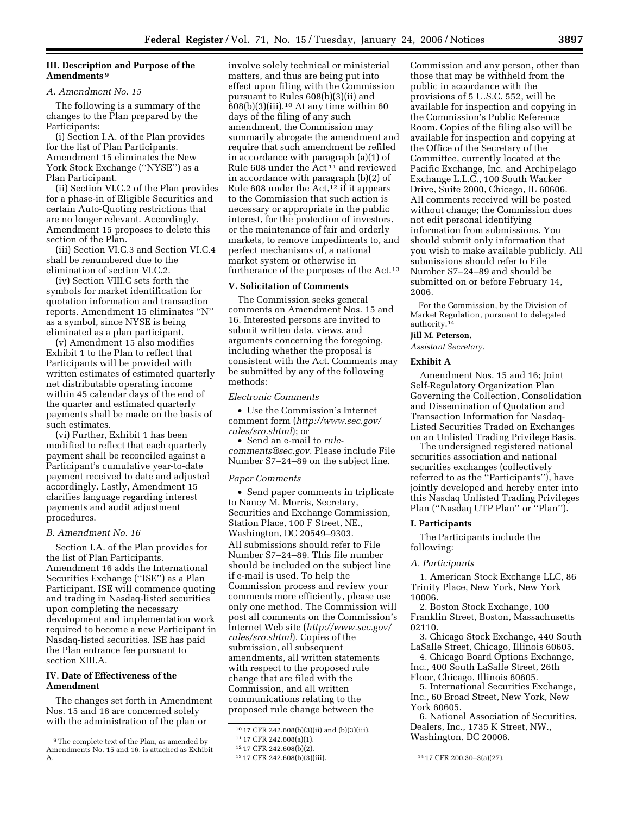# **III. Description and Purpose of the Amendments 9**

# *A. Amendment No. 15*

The following is a summary of the changes to the Plan prepared by the Participants:

(i) Section I.A. of the Plan provides for the list of Plan Participants. Amendment 15 eliminates the New York Stock Exchange (''NYSE'') as a Plan Participant.

(ii) Section VI.C.2 of the Plan provides for a phase-in of Eligible Securities and certain Auto-Quoting restrictions that are no longer relevant. Accordingly, Amendment 15 proposes to delete this section of the Plan.

(iii) Section VI.C.3 and Section VI.C.4 shall be renumbered due to the elimination of section VI.C.2.

(iv) Section VIII.C sets forth the symbols for market identification for quotation information and transaction reports. Amendment 15 eliminates ''N'' as a symbol, since NYSE is being eliminated as a plan participant.

(v) Amendment 15 also modifies Exhibit 1 to the Plan to reflect that Participants will be provided with written estimates of estimated quarterly net distributable operating income within 45 calendar days of the end of the quarter and estimated quarterly payments shall be made on the basis of such estimates.

(vi) Further, Exhibit 1 has been modified to reflect that each quarterly payment shall be reconciled against a Participant's cumulative year-to-date payment received to date and adjusted accordingly. Lastly, Amendment 15 clarifies language regarding interest payments and audit adjustment procedures.

### *B. Amendment No. 16*

Section I.A. of the Plan provides for the list of Plan Participants. Amendment 16 adds the International Securities Exchange (''ISE'') as a Plan Participant. ISE will commence quoting and trading in Nasdaq-listed securities upon completing the necessary development and implementation work required to become a new Participant in Nasdaq-listed securities. ISE has paid the Plan entrance fee pursuant to section XIII.A.

# **IV. Date of Effectiveness of the Amendment**

The changes set forth in Amendment Nos. 15 and 16 are concerned solely with the administration of the plan or

involve solely technical or ministerial matters, and thus are being put into effect upon filing with the Commission pursuant to Rules 608(b)(3)(ii) and  $608(b)(3)(iii).$ <sup>10</sup> At any time within 60 days of the filing of any such amendment, the Commission may summarily abrogate the amendment and require that such amendment be refiled in accordance with paragraph (a)(1) of Rule 608 under the Act 11 and reviewed in accordance with paragraph (b)(2) of Rule 608 under the  $Act<sub>12</sub>$  if it appears to the Commission that such action is necessary or appropriate in the public interest, for the protection of investors, or the maintenance of fair and orderly markets, to remove impediments to, and perfect mechanisms of, a national market system or otherwise in furtherance of the purposes of the Act.<sup>13</sup>

# **V. Solicitation of Comments**

The Commission seeks general comments on Amendment Nos. 15 and 16. Interested persons are invited to submit written data, views, and arguments concerning the foregoing, including whether the proposal is consistent with the Act. Comments may be submitted by any of the following methods:

# *Electronic Comments*

• Use the Commission's Internet comment form (*http://www.sec.gov/ rules/sro.shtml*); or

• Send an e-mail to *rulecomments@sec.gov.* Please include File Number S7–24–89 on the subject line.

# *Paper Comments*

• Send paper comments in triplicate to Nancy M. Morris, Secretary, Securities and Exchange Commission, Station Place, 100 F Street, NE., Washington, DC 20549–9303. All submissions should refer to File Number S7–24–89. This file number should be included on the subject line if e-mail is used. To help the Commission process and review your comments more efficiently, please use only one method. The Commission will post all comments on the Commission's Internet Web site (*http://www.sec.gov/ rules/sro.shtml*). Copies of the submission, all subsequent amendments, all written statements with respect to the proposed rule change that are filed with the Commission, and all written communications relating to the proposed rule change between the

Commission and any person, other than those that may be withheld from the public in accordance with the provisions of 5 U.S.C. 552, will be available for inspection and copying in the Commission's Public Reference Room. Copies of the filing also will be available for inspection and copying at the Office of the Secretary of the Committee, currently located at the Pacific Exchange, Inc. and Archipelago Exchange L.L.C., 100 South Wacker Drive, Suite 2000, Chicago, IL 60606. All comments received will be posted without change; the Commission does not edit personal identifying information from submissions. You should submit only information that you wish to make available publicly. All submissions should refer to File Number S7–24–89 and should be submitted on or before February 14, 2006.

For the Commission, by the Division of Market Regulation, pursuant to delegated authority.14

# **Jill M. Peterson,**

*Assistant Secretary.* 

# **Exhibit A**

Amendment Nos. 15 and 16; Joint Self-Regulatory Organization Plan Governing the Collection, Consolidation and Dissemination of Quotation and Transaction Information for Nasdaq-Listed Securities Traded on Exchanges on an Unlisted Trading Privilege Basis.

The undersigned registered national securities association and national securities exchanges (collectively referred to as the ''Participants''), have jointly developed and hereby enter into this Nasdaq Unlisted Trading Privileges Plan (''Nasdaq UTP Plan'' or ''Plan'').

#### **I. Participants**

The Participants include the following:

#### *A. Participants*

1. American Stock Exchange LLC, 86 Trinity Place, New York, New York 10006.

2. Boston Stock Exchange, 100 Franklin Street, Boston, Massachusetts 02110.

3. Chicago Stock Exchange, 440 South LaSalle Street, Chicago, Illinois 60605.

4. Chicago Board Options Exchange, Inc., 400 South LaSalle Street, 26th Floor, Chicago, Illinois 60605.

5. International Securities Exchange, Inc., 60 Broad Street, New York, New York 60605.

6. National Association of Securities, Dealers, Inc., 1735 K Street, NW., Washington, DC 20006.

<sup>9</sup>The complete text of the Plan, as amended by Amendments No. 15 and 16, is attached as Exhibit A.

<sup>10</sup> 17 CFR 242.608(b)(3)(ii) and (b)(3)(iii).

<sup>11</sup> 17 CFR 242.608(a)(1).

<sup>12</sup> 17 CFR 242.608(b)(2).

<sup>13</sup> 17 CFR 242.608(b)(3)(iii). 14 17 CFR 200.30–3(a)(27).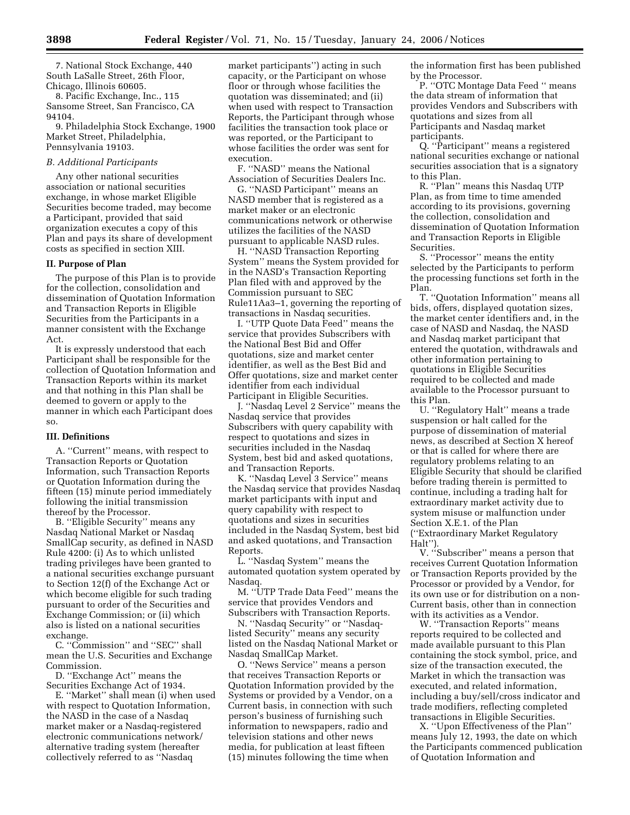7. National Stock Exchange, 440 South LaSalle Street, 26th Floor, Chicago, Illinois 60605.

8. Pacific Exchange, Inc., 115 Sansome Street, San Francisco, CA 94104.

9. Philadelphia Stock Exchange, 1900 Market Street, Philadelphia, Pennsylvania 19103.

# *B. Additional Participants*

Any other national securities association or national securities exchange, in whose market Eligible Securities become traded, may become a Participant, provided that said organization executes a copy of this Plan and pays its share of development costs as specified in section XIII.

### **II. Purpose of Plan**

The purpose of this Plan is to provide for the collection, consolidation and dissemination of Quotation Information and Transaction Reports in Eligible Securities from the Participants in a manner consistent with the Exchange Act.

It is expressly understood that each Participant shall be responsible for the collection of Quotation Information and Transaction Reports within its market and that nothing in this Plan shall be deemed to govern or apply to the manner in which each Participant does so.

#### **III. Definitions**

A. ''Current'' means, with respect to Transaction Reports or Quotation Information, such Transaction Reports or Quotation Information during the fifteen (15) minute period immediately following the initial transmission thereof by the Processor.

B. ''Eligible Security'' means any Nasdaq National Market or Nasdaq SmallCap security, as defined in NASD Rule 4200: (i) As to which unlisted trading privileges have been granted to a national securities exchange pursuant to Section 12(f) of the Exchange Act or which become eligible for such trading pursuant to order of the Securities and Exchange Commission; or (ii) which also is listed on a national securities exchange.

C. ''Commission'' and ''SEC'' shall mean the U.S. Securities and Exchange Commission.

D. "Exchange Act" means the Securities Exchange Act of 1934.

E. ''Market'' shall mean (i) when used with respect to Quotation Information, the NASD in the case of a Nasdaq market maker or a Nasdaq-registered electronic communications network/ alternative trading system (hereafter collectively referred to as ''Nasdaq

market participants'') acting in such capacity, or the Participant on whose floor or through whose facilities the quotation was disseminated; and (ii) when used with respect to Transaction Reports, the Participant through whose facilities the transaction took place or was reported, or the Participant to whose facilities the order was sent for execution.

F. ''NASD'' means the National Association of Securities Dealers Inc.

G. ''NASD Participant'' means an NASD member that is registered as a market maker or an electronic communications network or otherwise utilizes the facilities of the NASD pursuant to applicable NASD rules.

H. ''NASD Transaction Reporting System'' means the System provided for in the NASD's Transaction Reporting Plan filed with and approved by the Commission pursuant to SEC Rule11Aa3–1, governing the reporting of transactions in Nasdaq securities.

I. ''UTP Quote Data Feed'' means the service that provides Subscribers with the National Best Bid and Offer quotations, size and market center identifier, as well as the Best Bid and Offer quotations, size and market center identifier from each individual Participant in Eligible Securities.

J. ''Nasdaq Level 2 Service'' means the Nasdaq service that provides Subscribers with query capability with respect to quotations and sizes in securities included in the Nasdaq System, best bid and asked quotations, and Transaction Reports.

K. ''Nasdaq Level 3 Service'' means the Nasdaq service that provides Nasdaq market participants with input and query capability with respect to quotations and sizes in securities included in the Nasdaq System, best bid and asked quotations, and Transaction Reports.

L. ''Nasdaq System'' means the automated quotation system operated by Nasdaq.

M. ''UTP Trade Data Feed'' means the service that provides Vendors and Subscribers with Transaction Reports.

N. ''Nasdaq Security'' or ''Nasdaqlisted Security'' means any security listed on the Nasdaq National Market or Nasdaq SmallCap Market.

O. ''News Service'' means a person that receives Transaction Reports or Quotation Information provided by the Systems or provided by a Vendor, on a Current basis, in connection with such person's business of furnishing such information to newspapers, radio and television stations and other news media, for publication at least fifteen (15) minutes following the time when

the information first has been published by the Processor.

P. ''OTC Montage Data Feed '' means the data stream of information that provides Vendors and Subscribers with quotations and sizes from all Participants and Nasdaq market participants.

Q. ''Participant'' means a registered national securities exchange or national securities association that is a signatory to this Plan.

R. ''Plan'' means this Nasdaq UTP Plan, as from time to time amended according to its provisions, governing the collection, consolidation and dissemination of Quotation Information and Transaction Reports in Eligible Securities.

S. ''Processor'' means the entity selected by the Participants to perform the processing functions set forth in the Plan.

T. ''Quotation Information'' means all bids, offers, displayed quotation sizes, the market center identifiers and, in the case of NASD and Nasdaq, the NASD and Nasdaq market participant that entered the quotation, withdrawals and other information pertaining to quotations in Eligible Securities required to be collected and made available to the Processor pursuant to this Plan.

U. ''Regulatory Halt'' means a trade suspension or halt called for the purpose of dissemination of material news, as described at Section X hereof or that is called for where there are regulatory problems relating to an Eligible Security that should be clarified before trading therein is permitted to continue, including a trading halt for extraordinary market activity due to system misuse or malfunction under Section X.E.1. of the Plan (''Extraordinary Market Regulatory Halt'').

V. ''Subscriber'' means a person that receives Current Quotation Information or Transaction Reports provided by the Processor or provided by a Vendor, for its own use or for distribution on a non-Current basis, other than in connection with its activities as a Vendor.

W. ''Transaction Reports'' means reports required to be collected and made available pursuant to this Plan containing the stock symbol, price, and size of the transaction executed, the Market in which the transaction was executed, and related information, including a buy/sell/cross indicator and trade modifiers, reflecting completed transactions in Eligible Securities.

X. ''Upon Effectiveness of the Plan'' means July 12, 1993, the date on which the Participants commenced publication of Quotation Information and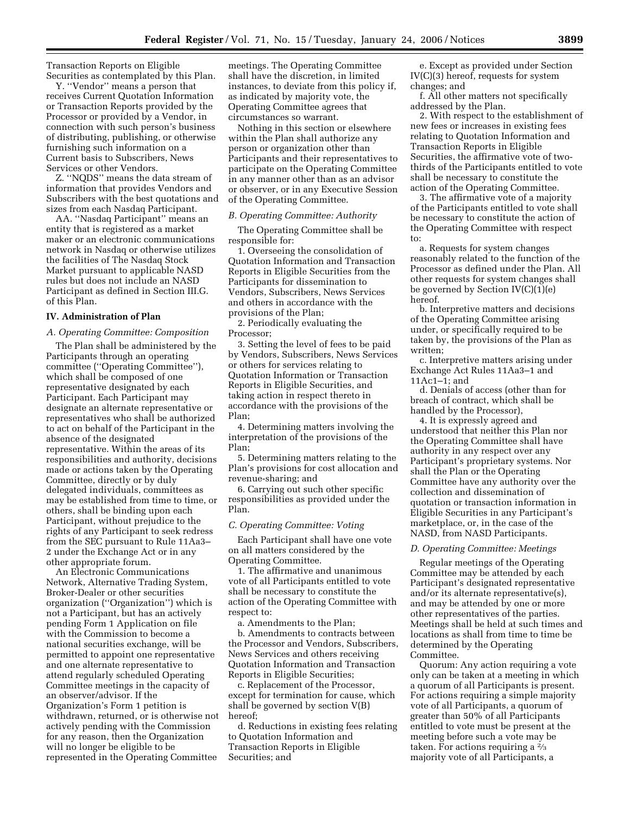Transaction Reports on Eligible Securities as contemplated by this Plan.

Y. ''Vendor'' means a person that receives Current Quotation Information or Transaction Reports provided by the Processor or provided by a Vendor, in connection with such person's business of distributing, publishing, or otherwise furnishing such information on a Current basis to Subscribers, News Services or other Vendors.

Z. ''NQDS'' means the data stream of information that provides Vendors and Subscribers with the best quotations and sizes from each Nasdaq Participant.

AA. ''Nasdaq Participant'' means an entity that is registered as a market maker or an electronic communications network in Nasdaq or otherwise utilizes the facilities of The Nasdaq Stock Market pursuant to applicable NASD rules but does not include an NASD Participant as defined in Section III.G. of this Plan.

#### **IV. Administration of Plan**

### *A. Operating Committee: Composition*

The Plan shall be administered by the Participants through an operating committee (''Operating Committee''), which shall be composed of one representative designated by each Participant. Each Participant may designate an alternate representative or representatives who shall be authorized to act on behalf of the Participant in the absence of the designated representative. Within the areas of its responsibilities and authority, decisions made or actions taken by the Operating Committee, directly or by duly delegated individuals, committees as may be established from time to time, or others, shall be binding upon each Participant, without prejudice to the rights of any Participant to seek redress from the SEC pursuant to Rule 11Aa3– 2 under the Exchange Act or in any other appropriate forum.

An Electronic Communications Network, Alternative Trading System, Broker-Dealer or other securities organization (''Organization'') which is not a Participant, but has an actively pending Form 1 Application on file with the Commission to become a national securities exchange, will be permitted to appoint one representative and one alternate representative to attend regularly scheduled Operating Committee meetings in the capacity of an observer/advisor. If the Organization's Form 1 petition is withdrawn, returned, or is otherwise not actively pending with the Commission for any reason, then the Organization will no longer be eligible to be represented in the Operating Committee

meetings. The Operating Committee shall have the discretion, in limited instances, to deviate from this policy if, as indicated by majority vote, the Operating Committee agrees that circumstances so warrant.

Nothing in this section or elsewhere within the Plan shall authorize any person or organization other than Participants and their representatives to participate on the Operating Committee in any manner other than as an advisor or observer, or in any Executive Session of the Operating Committee.

### *B. Operating Committee: Authority*

The Operating Committee shall be responsible for:

1. Overseeing the consolidation of Quotation Information and Transaction Reports in Eligible Securities from the Participants for dissemination to Vendors, Subscribers, News Services and others in accordance with the provisions of the Plan;

2. Periodically evaluating the Processor;

3. Setting the level of fees to be paid by Vendors, Subscribers, News Services or others for services relating to Quotation Information or Transaction Reports in Eligible Securities, and taking action in respect thereto in accordance with the provisions of the Plan;

4. Determining matters involving the interpretation of the provisions of the Plan;

5. Determining matters relating to the Plan's provisions for cost allocation and revenue-sharing; and

6. Carrying out such other specific responsibilities as provided under the Plan.

#### *C. Operating Committee: Voting*

Each Participant shall have one vote on all matters considered by the Operating Committee.

1. The affirmative and unanimous vote of all Participants entitled to vote shall be necessary to constitute the action of the Operating Committee with respect to:

a. Amendments to the Plan; b. Amendments to contracts between the Processor and Vendors, Subscribers, News Services and others receiving Quotation Information and Transaction Reports in Eligible Securities;

c. Replacement of the Processor, except for termination for cause, which shall be governed by section V(B) hereof;

d. Reductions in existing fees relating to Quotation Information and Transaction Reports in Eligible Securities; and

e. Except as provided under Section IV(C)(3) hereof, requests for system changes; and

f. All other matters not specifically addressed by the Plan.

2. With respect to the establishment of new fees or increases in existing fees relating to Quotation Information and Transaction Reports in Eligible Securities, the affirmative vote of twothirds of the Participants entitled to vote shall be necessary to constitute the action of the Operating Committee.

3. The affirmative vote of a majority of the Participants entitled to vote shall be necessary to constitute the action of the Operating Committee with respect to:

a. Requests for system changes reasonably related to the function of the Processor as defined under the Plan. All other requests for system changes shall be governed by Section IV(C)(1)(e) hereof.

b. Interpretive matters and decisions of the Operating Committee arising under, or specifically required to be taken by, the provisions of the Plan as written;

c. Interpretive matters arising under Exchange Act Rules 11Aa3–1 and 11Ac1–1; and

d. Denials of access (other than for breach of contract, which shall be handled by the Processor),

4. It is expressly agreed and understood that neither this Plan nor the Operating Committee shall have authority in any respect over any Participant's proprietary systems. Nor shall the Plan or the Operating Committee have any authority over the collection and dissemination of quotation or transaction information in Eligible Securities in any Participant's marketplace, or, in the case of the NASD, from NASD Participants.

### *D. Operating Committee: Meetings*

Regular meetings of the Operating Committee may be attended by each Participant's designated representative and/or its alternate representative(s), and may be attended by one or more other representatives of the parties. Meetings shall be held at such times and locations as shall from time to time be determined by the Operating Committee.

Quorum: Any action requiring a vote only can be taken at a meeting in which a quorum of all Participants is present. For actions requiring a simple majority vote of all Participants, a quorum of greater than 50% of all Participants entitled to vote must be present at the meeting before such a vote may be taken. For actions requiring a 2⁄3 majority vote of all Participants, a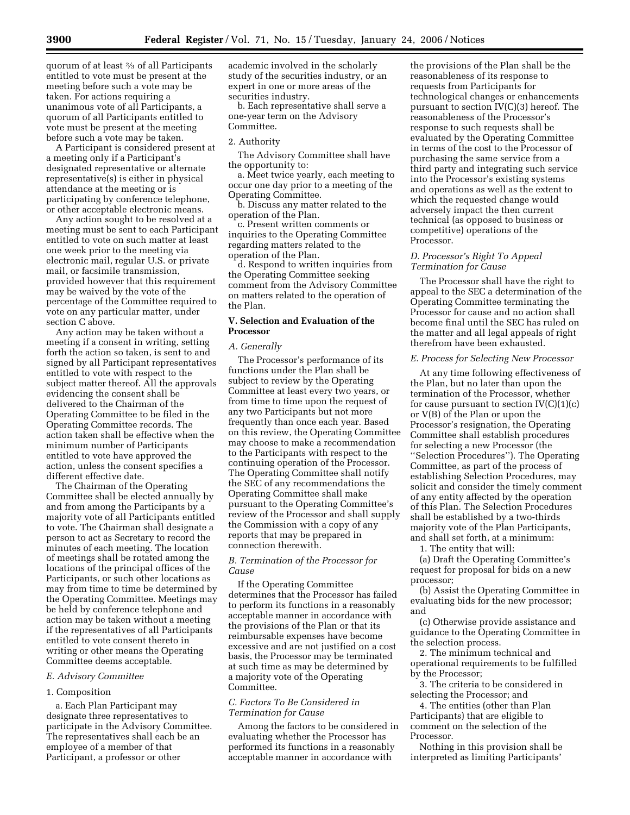quorum of at least 2⁄3 of all Participants entitled to vote must be present at the meeting before such a vote may be taken. For actions requiring a unanimous vote of all Participants, a quorum of all Participants entitled to vote must be present at the meeting before such a vote may be taken.

A Participant is considered present at a meeting only if a Participant's designated representative or alternate representative(s) is either in physical attendance at the meeting or is participating by conference telephone, or other acceptable electronic means.

Any action sought to be resolved at a meeting must be sent to each Participant entitled to vote on such matter at least one week prior to the meeting via electronic mail, regular U.S. or private mail, or facsimile transmission, provided however that this requirement may be waived by the vote of the percentage of the Committee required to vote on any particular matter, under section C above.

Any action may be taken without a meeting if a consent in writing, setting forth the action so taken, is sent to and signed by all Participant representatives entitled to vote with respect to the subject matter thereof. All the approvals evidencing the consent shall be delivered to the Chairman of the Operating Committee to be filed in the Operating Committee records. The action taken shall be effective when the minimum number of Participants entitled to vote have approved the action, unless the consent specifies a different effective date.

The Chairman of the Operating Committee shall be elected annually by and from among the Participants by a majority vote of all Participants entitled to vote. The Chairman shall designate a person to act as Secretary to record the minutes of each meeting. The location of meetings shall be rotated among the locations of the principal offices of the Participants, or such other locations as may from time to time be determined by the Operating Committee. Meetings may be held by conference telephone and action may be taken without a meeting if the representatives of all Participants entitled to vote consent thereto in writing or other means the Operating Committee deems acceptable.

# *E. Advisory Committee*

#### 1. Composition

a. Each Plan Participant may designate three representatives to participate in the Advisory Committee. The representatives shall each be an employee of a member of that Participant, a professor or other

academic involved in the scholarly study of the securities industry, or an expert in one or more areas of the securities industry.

b. Each representative shall serve a one-year term on the Advisory Committee.

### 2. Authority

The Advisory Committee shall have the opportunity to:

a. Meet twice yearly, each meeting to occur one day prior to a meeting of the Operating Committee.

b. Discuss any matter related to the operation of the Plan.

c. Present written comments or inquiries to the Operating Committee regarding matters related to the operation of the Plan.

d. Respond to written inquiries from the Operating Committee seeking comment from the Advisory Committee on matters related to the operation of the Plan.

# **V. Selection and Evaluation of the Processor**

#### *A. Generally*

The Processor's performance of its functions under the Plan shall be subject to review by the Operating Committee at least every two years, or from time to time upon the request of any two Participants but not more frequently than once each year. Based on this review, the Operating Committee may choose to make a recommendation to the Participants with respect to the continuing operation of the Processor. The Operating Committee shall notify the SEC of any recommendations the Operating Committee shall make pursuant to the Operating Committee's review of the Processor and shall supply the Commission with a copy of any reports that may be prepared in connection therewith.

# *B. Termination of the Processor for Cause*

If the Operating Committee determines that the Processor has failed to perform its functions in a reasonably acceptable manner in accordance with the provisions of the Plan or that its reimbursable expenses have become excessive and are not justified on a cost basis, the Processor may be terminated at such time as may be determined by a majority vote of the Operating Committee.

# *C. Factors To Be Considered in Termination for Cause*

Among the factors to be considered in evaluating whether the Processor has performed its functions in a reasonably acceptable manner in accordance with

the provisions of the Plan shall be the reasonableness of its response to requests from Participants for technological changes or enhancements pursuant to section IV(C)(3) hereof. The reasonableness of the Processor's response to such requests shall be evaluated by the Operating Committee in terms of the cost to the Processor of purchasing the same service from a third party and integrating such service into the Processor's existing systems and operations as well as the extent to which the requested change would adversely impact the then current technical (as opposed to business or competitive) operations of the Processor.

# *D. Processor's Right To Appeal Termination for Cause*

The Processor shall have the right to appeal to the SEC a determination of the Operating Committee terminating the Processor for cause and no action shall become final until the SEC has ruled on the matter and all legal appeals of right therefrom have been exhausted.

### *E. Process for Selecting New Processor*

At any time following effectiveness of the Plan, but no later than upon the termination of the Processor, whether for cause pursuant to section  $IV(C)(1)(c)$ or V(B) of the Plan or upon the Processor's resignation, the Operating Committee shall establish procedures for selecting a new Processor (the ''Selection Procedures''). The Operating Committee, as part of the process of establishing Selection Procedures, may solicit and consider the timely comment of any entity affected by the operation of this Plan. The Selection Procedures shall be established by a two-thirds majority vote of the Plan Participants, and shall set forth, at a minimum:

1. The entity that will:

(a) Draft the Operating Committee's request for proposal for bids on a new processor;

(b) Assist the Operating Committee in evaluating bids for the new processor; and

(c) Otherwise provide assistance and guidance to the Operating Committee in the selection process.

2. The minimum technical and operational requirements to be fulfilled by the Processor;

3. The criteria to be considered in selecting the Processor; and

4. The entities (other than Plan Participants) that are eligible to comment on the selection of the Processor.

Nothing in this provision shall be interpreted as limiting Participants'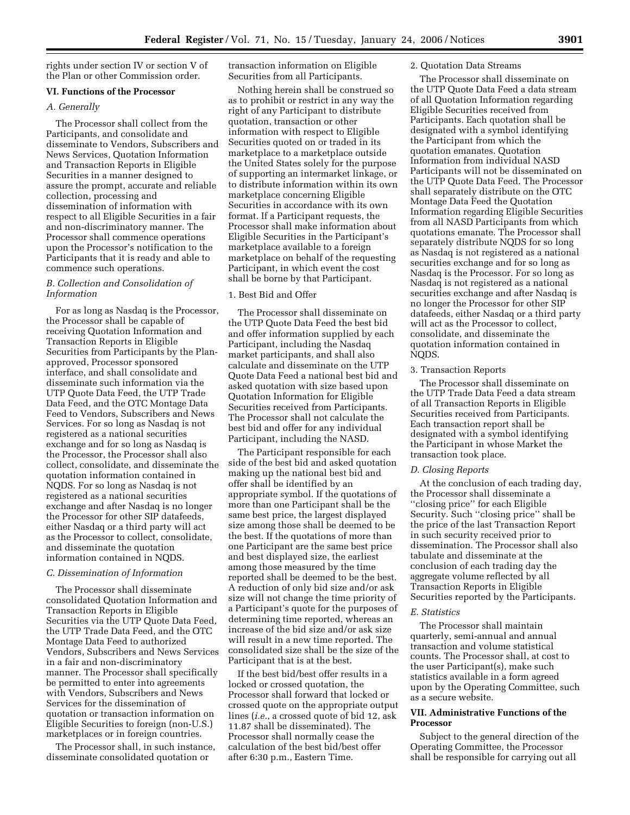rights under section IV or section V of the Plan or other Commission order.

# **VI. Functions of the Processor**

# *A. Generally*

The Processor shall collect from the Participants, and consolidate and disseminate to Vendors, Subscribers and News Services, Quotation Information and Transaction Reports in Eligible Securities in a manner designed to assure the prompt, accurate and reliable collection, processing and dissemination of information with respect to all Eligible Securities in a fair and non-discriminatory manner. The Processor shall commence operations upon the Processor's notification to the Participants that it is ready and able to commence such operations.

# *B. Collection and Consolidation of Information*

For as long as Nasdaq is the Processor, the Processor shall be capable of receiving Quotation Information and Transaction Reports in Eligible Securities from Participants by the Planapproved, Processor sponsored interface, and shall consolidate and disseminate such information via the UTP Quote Data Feed, the UTP Trade Data Feed, and the OTC Montage Data Feed to Vendors, Subscribers and News Services. For so long as Nasdaq is not registered as a national securities exchange and for so long as Nasdaq is the Processor, the Processor shall also collect, consolidate, and disseminate the quotation information contained in NQDS. For so long as Nasdaq is not registered as a national securities exchange and after Nasdaq is no longer the Processor for other SIP datafeeds, either Nasdaq or a third party will act as the Processor to collect, consolidate, and disseminate the quotation information contained in NQDS.

# *C. Dissemination of Information*

The Processor shall disseminate consolidated Quotation Information and Transaction Reports in Eligible Securities via the UTP Quote Data Feed, the UTP Trade Data Feed, and the OTC Montage Data Feed to authorized Vendors, Subscribers and News Services in a fair and non-discriminatory manner. The Processor shall specifically be permitted to enter into agreements with Vendors, Subscribers and News Services for the dissemination of quotation or transaction information on Eligible Securities to foreign (non-U.S.) marketplaces or in foreign countries.

The Processor shall, in such instance, disseminate consolidated quotation or

transaction information on Eligible Securities from all Participants.

Nothing herein shall be construed so as to prohibit or restrict in any way the right of any Participant to distribute quotation, transaction or other information with respect to Eligible Securities quoted on or traded in its marketplace to a marketplace outside the United States solely for the purpose of supporting an intermarket linkage, or to distribute information within its own marketplace concerning Eligible Securities in accordance with its own format. If a Participant requests, the Processor shall make information about Eligible Securities in the Participant's marketplace available to a foreign marketplace on behalf of the requesting Participant, in which event the cost shall be borne by that Participant.

# 1. Best Bid and Offer

The Processor shall disseminate on the UTP Quote Data Feed the best bid and offer information supplied by each Participant, including the Nasdaq market participants, and shall also calculate and disseminate on the UTP Quote Data Feed a national best bid and asked quotation with size based upon Quotation Information for Eligible Securities received from Participants. The Processor shall not calculate the best bid and offer for any individual Participant, including the NASD.

The Participant responsible for each side of the best bid and asked quotation making up the national best bid and offer shall be identified by an appropriate symbol. If the quotations of more than one Participant shall be the same best price, the largest displayed size among those shall be deemed to be the best. If the quotations of more than one Participant are the same best price and best displayed size, the earliest among those measured by the time reported shall be deemed to be the best. A reduction of only bid size and/or ask size will not change the time priority of a Participant's quote for the purposes of determining time reported, whereas an increase of the bid size and/or ask size will result in a new time reported. The consolidated size shall be the size of the Participant that is at the best.

If the best bid/best offer results in a locked or crossed quotation, the Processor shall forward that locked or crossed quote on the appropriate output lines (*i.e.*, a crossed quote of bid 12, ask 11.87 shall be disseminated). The Processor shall normally cease the calculation of the best bid/best offer after 6:30 p.m., Eastern Time.

# 2. Quotation Data Streams

The Processor shall disseminate on the UTP Quote Data Feed a data stream of all Quotation Information regarding Eligible Securities received from Participants. Each quotation shall be designated with a symbol identifying the Participant from which the quotation emanates. Quotation Information from individual NASD Participants will not be disseminated on the UTP Quote Data Feed. The Processor shall separately distribute on the OTC Montage Data Feed the Quotation Information regarding Eligible Securities from all NASD Participants from which quotations emanate. The Processor shall separately distribute NQDS for so long as Nasdaq is not registered as a national securities exchange and for so long as Nasdaq is the Processor. For so long as Nasdaq is not registered as a national securities exchange and after Nasdaq is no longer the Processor for other SIP datafeeds, either Nasdaq or a third party will act as the Processor to collect, consolidate, and disseminate the quotation information contained in NQDS.

# 3. Transaction Reports

The Processor shall disseminate on the UTP Trade Data Feed a data stream of all Transaction Reports in Eligible Securities received from Participants. Each transaction report shall be designated with a symbol identifying the Participant in whose Market the transaction took place.

# *D. Closing Reports*

At the conclusion of each trading day, the Processor shall disseminate a ''closing price'' for each Eligible Security. Such ''closing price'' shall be the price of the last Transaction Report in such security received prior to dissemination. The Processor shall also tabulate and disseminate at the conclusion of each trading day the aggregate volume reflected by all Transaction Reports in Eligible Securities reported by the Participants.

# *E. Statistics*

The Processor shall maintain quarterly, semi-annual and annual transaction and volume statistical counts. The Processor shall, at cost to the user Participant(s), make such statistics available in a form agreed upon by the Operating Committee, such as a secure website.

# **VII. Administrative Functions of the Processor**

Subject to the general direction of the Operating Committee, the Processor shall be responsible for carrying out all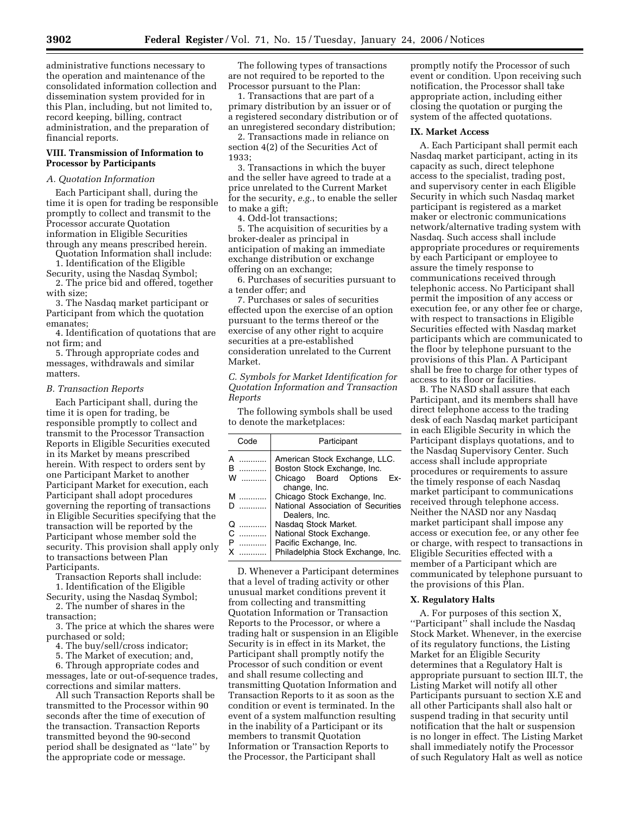administrative functions necessary to the operation and maintenance of the consolidated information collection and dissemination system provided for in this Plan, including, but not limited to, record keeping, billing, contract administration, and the preparation of financial reports.

## **VIII. Transmission of Information to Processor by Participants**

# *A. Quotation Information*

Each Participant shall, during the time it is open for trading be responsible promptly to collect and transmit to the Processor accurate Quotation information in Eligible Securities through any means prescribed herein.

Quotation Information shall include: 1. Identification of the Eligible

Security, using the Nasdaq Symbol;

2. The price bid and offered, together with size;

3. The Nasdaq market participant or Participant from which the quotation emanates;

4. Identification of quotations that are not firm; and

5. Through appropriate codes and messages, withdrawals and similar matters.

#### *B. Transaction Reports*

Each Participant shall, during the time it is open for trading, be responsible promptly to collect and transmit to the Processor Transaction Reports in Eligible Securities executed in its Market by means prescribed herein. With respect to orders sent by one Participant Market to another Participant Market for execution, each Participant shall adopt procedures governing the reporting of transactions in Eligible Securities specifying that the transaction will be reported by the Participant whose member sold the security. This provision shall apply only to transactions between Plan Participants.

Transaction Reports shall include:

1. Identification of the Eligible Security, using the Nasdaq Symbol; 2. The number of shares in the

transaction;

3. The price at which the shares were purchased or sold;

4. The buy/sell/cross indicator;

5. The Market of execution; and,

6. Through appropriate codes and messages, late or out-of-sequence trades, corrections and similar matters.

All such Transaction Reports shall be transmitted to the Processor within 90 seconds after the time of execution of the transaction. Transaction Reports transmitted beyond the 90-second period shall be designated as ''late'' by the appropriate code or message.

The following types of transactions are not required to be reported to the Processor pursuant to the Plan:

1. Transactions that are part of a primary distribution by an issuer or of a registered secondary distribution or of an unregistered secondary distribution;

2. Transactions made in reliance on section 4(2) of the Securities Act of 1933;

3. Transactions in which the buyer and the seller have agreed to trade at a price unrelated to the Current Market for the security, *e.g.*, to enable the seller to make a gift;

4. Odd-lot transactions;

5. The acquisition of securities by a broker-dealer as principal in anticipation of making an immediate exchange distribution or exchange offering on an exchange;

6. Purchases of securities pursuant to a tender offer; and

7. Purchases or sales of securities effected upon the exercise of an option pursuant to the terms thereof or the exercise of any other right to acquire securities at a pre-established consideration unrelated to the Current Market.

*C. Symbols for Market Identification for Quotation Information and Transaction Reports* 

The following symbols shall be used to denote the marketplaces:

| Code             | Participant                                                                                  |
|------------------|----------------------------------------------------------------------------------------------|
| R<br>.<br>w<br>. | American Stock Exchange, LLC.<br>Boston Stock Exchange, Inc.<br>Chicago Board Options<br>Fx- |
|                  | change, Inc.                                                                                 |
| <b>M</b>         | Chicago Stock Exchange, Inc.                                                                 |
|                  | National Association of Securities<br>Dealers, Inc.                                          |
| O<br>.           | Nasdag Stock Market.                                                                         |
| C                | National Stock Exchange.                                                                     |
|                  | Pacific Exchange, Inc.                                                                       |
|                  | Philadelphia Stock Exchange, Inc.                                                            |

D. Whenever a Participant determines that a level of trading activity or other unusual market conditions prevent it from collecting and transmitting Quotation Information or Transaction Reports to the Processor, or where a trading halt or suspension in an Eligible Security is in effect in its Market, the Participant shall promptly notify the Processor of such condition or event and shall resume collecting and transmitting Quotation Information and Transaction Reports to it as soon as the condition or event is terminated. In the event of a system malfunction resulting in the inability of a Participant or its members to transmit Quotation Information or Transaction Reports to the Processor, the Participant shall

promptly notify the Processor of such event or condition. Upon receiving such notification, the Processor shall take appropriate action, including either closing the quotation or purging the system of the affected quotations.

#### **IX. Market Access**

A. Each Participant shall permit each Nasdaq market participant, acting in its capacity as such, direct telephone access to the specialist, trading post, and supervisory center in each Eligible Security in which such Nasdaq market participant is registered as a market maker or electronic communications network/alternative trading system with Nasdaq. Such access shall include appropriate procedures or requirements by each Participant or employee to assure the timely response to communications received through telephonic access. No Participant shall permit the imposition of any access or execution fee, or any other fee or charge, with respect to transactions in Eligible Securities effected with Nasdaq market participants which are communicated to the floor by telephone pursuant to the provisions of this Plan. A Participant shall be free to charge for other types of access to its floor or facilities.

B. The NASD shall assure that each Participant, and its members shall have direct telephone access to the trading desk of each Nasdaq market participant in each Eligible Security in which the Participant displays quotations, and to the Nasdaq Supervisory Center. Such access shall include appropriate procedures or requirements to assure the timely response of each Nasdaq market participant to communications received through telephone access. Neither the NASD nor any Nasdaq market participant shall impose any access or execution fee, or any other fee or charge, with respect to transactions in Eligible Securities effected with a member of a Participant which are communicated by telephone pursuant to the provisions of this Plan.

### **X. Regulatory Halts**

A. For purposes of this section X, ''Participant'' shall include the Nasdaq Stock Market. Whenever, in the exercise of its regulatory functions, the Listing Market for an Eligible Security determines that a Regulatory Halt is appropriate pursuant to section III.T, the Listing Market will notify all other Participants pursuant to section X.E and all other Participants shall also halt or suspend trading in that security until notification that the halt or suspension is no longer in effect. The Listing Market shall immediately notify the Processor of such Regulatory Halt as well as notice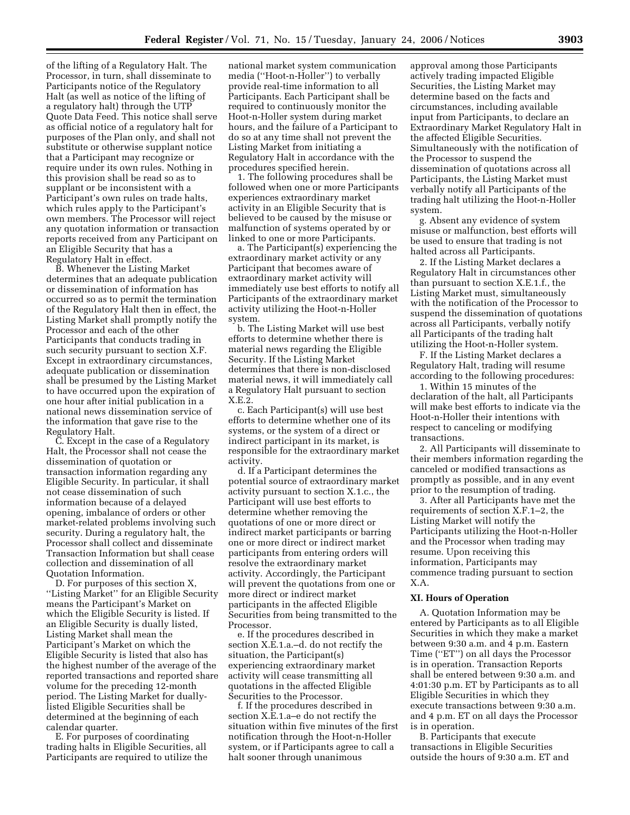of the lifting of a Regulatory Halt. The Processor, in turn, shall disseminate to Participants notice of the Regulatory Halt (as well as notice of the lifting of a regulatory halt) through the UTP Quote Data Feed. This notice shall serve as official notice of a regulatory halt for purposes of the Plan only, and shall not substitute or otherwise supplant notice that a Participant may recognize or require under its own rules. Nothing in this provision shall be read so as to supplant or be inconsistent with a Participant's own rules on trade halts, which rules apply to the Participant's own members. The Processor will reject any quotation information or transaction reports received from any Participant on an Eligible Security that has a Regulatory Halt in effect.

B. Whenever the Listing Market determines that an adequate publication or dissemination of information has occurred so as to permit the termination of the Regulatory Halt then in effect, the Listing Market shall promptly notify the Processor and each of the other Participants that conducts trading in such security pursuant to section X.F. Except in extraordinary circumstances, adequate publication or dissemination shall be presumed by the Listing Market to have occurred upon the expiration of one hour after initial publication in a national news dissemination service of the information that gave rise to the Regulatory Halt.

C. Except in the case of a Regulatory Halt, the Processor shall not cease the dissemination of quotation or transaction information regarding any Eligible Security. In particular, it shall not cease dissemination of such information because of a delayed opening, imbalance of orders or other market-related problems involving such security. During a regulatory halt, the Processor shall collect and disseminate Transaction Information but shall cease collection and dissemination of all Quotation Information.

D. For purposes of this section X, ''Listing Market'' for an Eligible Security means the Participant's Market on which the Eligible Security is listed. If an Eligible Security is dually listed, Listing Market shall mean the Participant's Market on which the Eligible Security is listed that also has the highest number of the average of the reported transactions and reported share volume for the preceding 12-month period. The Listing Market for duallylisted Eligible Securities shall be determined at the beginning of each calendar quarter.

E. For purposes of coordinating trading halts in Eligible Securities, all Participants are required to utilize the

national market system communication media (''Hoot-n-Holler'') to verbally provide real-time information to all Participants. Each Participant shall be required to continuously monitor the Hoot-n-Holler system during market hours, and the failure of a Participant to do so at any time shall not prevent the Listing Market from initiating a Regulatory Halt in accordance with the procedures specified herein.

1. The following procedures shall be followed when one or more Participants experiences extraordinary market activity in an Eligible Security that is believed to be caused by the misuse or malfunction of systems operated by or linked to one or more Participants.

a. The Participant(s) experiencing the extraordinary market activity or any Participant that becomes aware of extraordinary market activity will immediately use best efforts to notify all Participants of the extraordinary market activity utilizing the Hoot-n-Holler system.

b. The Listing Market will use best efforts to determine whether there is material news regarding the Eligible Security. If the Listing Market determines that there is non-disclosed material news, it will immediately call a Regulatory Halt pursuant to section X.E.2.

c. Each Participant(s) will use best efforts to determine whether one of its systems, or the system of a direct or indirect participant in its market, is responsible for the extraordinary market activity.

d. If a Participant determines the potential source of extraordinary market activity pursuant to section X.1.c., the Participant will use best efforts to determine whether removing the quotations of one or more direct or indirect market participants or barring one or more direct or indirect market participants from entering orders will resolve the extraordinary market activity. Accordingly, the Participant will prevent the quotations from one or more direct or indirect market participants in the affected Eligible Securities from being transmitted to the Processor.

e. If the procedures described in section X.E.1.a.–d. do not rectify the situation, the Participant(s) experiencing extraordinary market activity will cease transmitting all quotations in the affected Eligible Securities to the Processor.

f. If the procedures described in section X.E.1.a–e do not rectify the situation within five minutes of the first notification through the Hoot-n-Holler system, or if Participants agree to call a halt sooner through unanimous

approval among those Participants actively trading impacted Eligible Securities, the Listing Market may determine based on the facts and circumstances, including available input from Participants, to declare an Extraordinary Market Regulatory Halt in the affected Eligible Securities. Simultaneously with the notification of the Processor to suspend the dissemination of quotations across all Participants, the Listing Market must verbally notify all Participants of the trading halt utilizing the Hoot-n-Holler system.

g. Absent any evidence of system misuse or malfunction, best efforts will be used to ensure that trading is not halted across all Participants.

2. If the Listing Market declares a Regulatory Halt in circumstances other than pursuant to section X.E.1.f., the Listing Market must, simultaneously with the notification of the Processor to suspend the dissemination of quotations across all Participants, verbally notify all Participants of the trading halt utilizing the Hoot-n-Holler system.

F. If the Listing Market declares a Regulatory Halt, trading will resume according to the following procedures:

1. Within 15 minutes of the declaration of the halt, all Participants will make best efforts to indicate via the Hoot-n-Holler their intentions with respect to canceling or modifying transactions.

2. All Participants will disseminate to their members information regarding the canceled or modified transactions as promptly as possible, and in any event prior to the resumption of trading.

3. After all Participants have met the requirements of section X.F.1–2, the Listing Market will notify the Participants utilizing the Hoot-n-Holler and the Processor when trading may resume. Upon receiving this information, Participants may commence trading pursuant to section X.A.

# **XI. Hours of Operation**

A. Quotation Information may be entered by Participants as to all Eligible Securities in which they make a market between 9:30 a.m. and 4 p.m. Eastern Time (''ET'') on all days the Processor is in operation. Transaction Reports shall be entered between 9:30 a.m. and 4:01:30 p.m. ET by Participants as to all Eligible Securities in which they execute transactions between 9:30 a.m. and 4 p.m. ET on all days the Processor is in operation.

B. Participants that execute transactions in Eligible Securities outside the hours of 9:30 a.m. ET and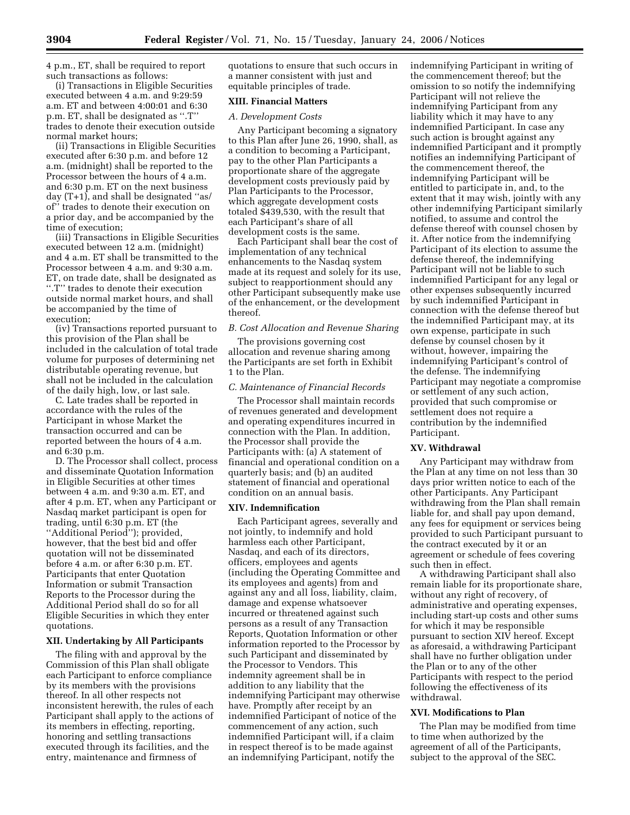4 p.m., ET, shall be required to report such transactions as follows:

(i) Transactions in Eligible Securities executed between 4 a.m. and 9:29:59 a.m. ET and between 4:00:01 and 6:30 p.m. ET, shall be designated as ''.T'' trades to denote their execution outside normal market hours;

(ii) Transactions in Eligible Securities executed after 6:30 p.m. and before 12 a.m. (midnight) shall be reported to the Processor between the hours of 4 a.m. and 6:30 p.m. ET on the next business day (T+1), and shall be designated ''as/ of'' trades to denote their execution on a prior day, and be accompanied by the time of execution;

(iii) Transactions in Eligible Securities executed between 12 a.m. (midnight) and 4 a.m. ET shall be transmitted to the Processor between 4 a.m. and 9:30 a.m. ET, on trade date, shall be designated as ''.T'' trades to denote their execution outside normal market hours, and shall be accompanied by the time of execution;

(iv) Transactions reported pursuant to this provision of the Plan shall be included in the calculation of total trade volume for purposes of determining net distributable operating revenue, but shall not be included in the calculation of the daily high, low, or last sale.

C. Late trades shall be reported in accordance with the rules of the Participant in whose Market the transaction occurred and can be reported between the hours of 4 a.m. and 6:30 p.m.

D. The Processor shall collect, process and disseminate Quotation Information in Eligible Securities at other times between 4 a.m. and 9:30 a.m. ET, and after 4 p.m. ET, when any Participant or Nasdaq market participant is open for trading, until 6:30 p.m. ET (the ''Additional Period''); provided, however, that the best bid and offer quotation will not be disseminated before 4 a.m. or after 6:30 p.m. ET. Participants that enter Quotation Information or submit Transaction Reports to the Processor during the Additional Period shall do so for all Eligible Securities in which they enter quotations.

#### **XII. Undertaking by All Participants**

The filing with and approval by the Commission of this Plan shall obligate each Participant to enforce compliance by its members with the provisions thereof. In all other respects not inconsistent herewith, the rules of each Participant shall apply to the actions of its members in effecting, reporting, honoring and settling transactions executed through its facilities, and the entry, maintenance and firmness of

quotations to ensure that such occurs in a manner consistent with just and equitable principles of trade.

# **XIII. Financial Matters**

# *A. Development Costs*

Any Participant becoming a signatory to this Plan after June 26, 1990, shall, as a condition to becoming a Participant, pay to the other Plan Participants a proportionate share of the aggregate development costs previously paid by Plan Participants to the Processor, which aggregate development costs totaled \$439,530, with the result that each Participant's share of all development costs is the same.

Each Participant shall bear the cost of implementation of any technical enhancements to the Nasdaq system made at its request and solely for its use, subject to reapportionment should any other Participant subsequently make use of the enhancement, or the development thereof.

# *B. Cost Allocation and Revenue Sharing*

The provisions governing cost allocation and revenue sharing among the Participants are set forth in Exhibit 1 to the Plan.

#### *C. Maintenance of Financial Records*

The Processor shall maintain records of revenues generated and development and operating expenditures incurred in connection with the Plan. In addition, the Processor shall provide the Participants with: (a) A statement of financial and operational condition on a quarterly basis; and (b) an audited statement of financial and operational condition on an annual basis.

# **XIV. Indemnification**

Each Participant agrees, severally and not jointly, to indemnify and hold harmless each other Participant, Nasdaq, and each of its directors, officers, employees and agents (including the Operating Committee and its employees and agents) from and against any and all loss, liability, claim, damage and expense whatsoever incurred or threatened against such persons as a result of any Transaction Reports, Quotation Information or other information reported to the Processor by such Participant and disseminated by the Processor to Vendors. This indemnity agreement shall be in addition to any liability that the indemnifying Participant may otherwise have. Promptly after receipt by an indemnified Participant of notice of the commencement of any action, such indemnified Participant will, if a claim in respect thereof is to be made against an indemnifying Participant, notify the

indemnifying Participant in writing of the commencement thereof; but the omission to so notify the indemnifying Participant will not relieve the indemnifying Participant from any liability which it may have to any indemnified Participant. In case any such action is brought against any indemnified Participant and it promptly notifies an indemnifying Participant of the commencement thereof, the indemnifying Participant will be entitled to participate in, and, to the extent that it may wish, jointly with any other indemnifying Participant similarly notified, to assume and control the defense thereof with counsel chosen by it. After notice from the indemnifying Participant of its election to assume the defense thereof, the indemnifying Participant will not be liable to such indemnified Participant for any legal or other expenses subsequently incurred by such indemnified Participant in connection with the defense thereof but the indemnified Participant may, at its own expense, participate in such defense by counsel chosen by it without, however, impairing the indemnifying Participant's control of the defense. The indemnifying Participant may negotiate a compromise or settlement of any such action, provided that such compromise or settlement does not require a contribution by the indemnified Participant.

### **XV. Withdrawal**

Any Participant may withdraw from the Plan at any time on not less than 30 days prior written notice to each of the other Participants. Any Participant withdrawing from the Plan shall remain liable for, and shall pay upon demand, any fees for equipment or services being provided to such Participant pursuant to the contract executed by it or an agreement or schedule of fees covering such then in effect.

A withdrawing Participant shall also remain liable for its proportionate share, without any right of recovery, of administrative and operating expenses, including start-up costs and other sums for which it may be responsible pursuant to section XIV hereof. Except as aforesaid, a withdrawing Participant shall have no further obligation under the Plan or to any of the other Participants with respect to the period following the effectiveness of its withdrawal.

#### **XVI. Modifications to Plan**

The Plan may be modified from time to time when authorized by the agreement of all of the Participants, subject to the approval of the SEC.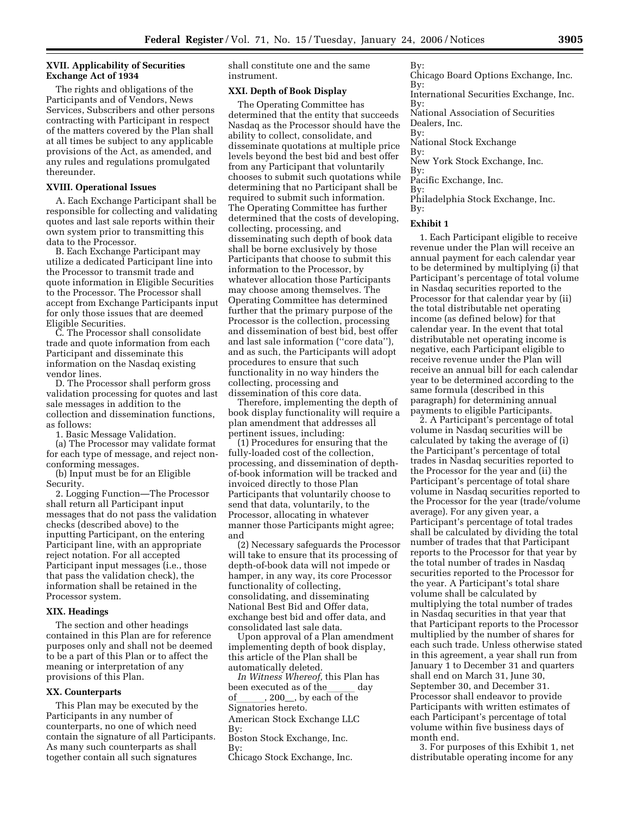# **XVII. Applicability of Securities Exchange Act of 1934**

The rights and obligations of the Participants and of Vendors, News Services, Subscribers and other persons contracting with Participant in respect of the matters covered by the Plan shall at all times be subject to any applicable provisions of the Act, as amended, and any rules and regulations promulgated thereunder.

# **XVIII. Operational Issues**

A. Each Exchange Participant shall be responsible for collecting and validating quotes and last sale reports within their own system prior to transmitting this data to the Processor.

B. Each Exchange Participant may utilize a dedicated Participant line into the Processor to transmit trade and quote information in Eligible Securities to the Processor. The Processor shall accept from Exchange Participants input for only those issues that are deemed Eligible Securities.

C. The Processor shall consolidate trade and quote information from each Participant and disseminate this information on the Nasdaq existing vendor lines.

D. The Processor shall perform gross validation processing for quotes and last sale messages in addition to the collection and dissemination functions, as follows:

1. Basic Message Validation.

(a) The Processor may validate format for each type of message, and reject nonconforming messages.

(b) Input must be for an Eligible Security.

2. Logging Function—The Processor shall return all Participant input messages that do not pass the validation checks (described above) to the inputting Participant, on the entering Participant line, with an appropriate reject notation. For all accepted Participant input messages (i.e., those that pass the validation check), the information shall be retained in the Processor system.

### **XIX. Headings**

The section and other headings contained in this Plan are for reference purposes only and shall not be deemed to be a part of this Plan or to affect the meaning or interpretation of any provisions of this Plan.

### **XX. Counterparts**

This Plan may be executed by the Participants in any number of counterparts, no one of which need contain the signature of all Participants. As many such counterparts as shall together contain all such signatures

shall constitute one and the same instrument.

# **XXI. Depth of Book Display**

The Operating Committee has determined that the entity that succeeds Nasdaq as the Processor should have the ability to collect, consolidate, and disseminate quotations at multiple price levels beyond the best bid and best offer from any Participant that voluntarily chooses to submit such quotations while determining that no Participant shall be required to submit such information. The Operating Committee has further determined that the costs of developing, collecting, processing, and disseminating such depth of book data shall be borne exclusively by those Participants that choose to submit this information to the Processor, by whatever allocation those Participants may choose among themselves. The Operating Committee has determined further that the primary purpose of the Processor is the collection, processing and dissemination of best bid, best offer and last sale information (''core data''), and as such, the Participants will adopt procedures to ensure that such functionality in no way hinders the collecting, processing and dissemination of this core data.

Therefore, implementing the depth of book display functionality will require a plan amendment that addresses all pertinent issues, including:

(1) Procedures for ensuring that the fully-loaded cost of the collection, processing, and dissemination of depthof-book information will be tracked and invoiced directly to those Plan Participants that voluntarily choose to send that data, voluntarily, to the Processor, allocating in whatever manner those Participants might agree; and

(2) Necessary safeguards the Processor will take to ensure that its processing of depth-of-book data will not impede or hamper, in any way, its core Processor functionality of collecting, consolidating, and disseminating National Best Bid and Offer data, exchange best bid and offer data, and consolidated last sale data.

Upon approval of a Plan amendment implementing depth of book display, this article of the Plan shall be automatically deleted.

*In Witness Whereof,* this Plan has been executed as of the  $\frac{1}{\text{log of}}$  day of  $\frac{1}{\text{log of the}}$  $, 200$ , by each of the Signatories hereto.

American Stock Exchange LLC By:

Boston Stock Exchange, Inc.

By:

Chicago Stock Exchange, Inc.

 $Bv$ Chicago Board Options Exchange, Inc. By: International Securities Exchange, Inc. By: National Association of Securities Dealers, Inc. By: National Stock Exchange By: New York Stock Exchange, Inc. By: Pacific Exchange, Inc. By:

Philadelphia Stock Exchange, Inc. By:

### **Exhibit 1**

1. Each Participant eligible to receive revenue under the Plan will receive an annual payment for each calendar year to be determined by multiplying (i) that Participant's percentage of total volume in Nasdaq securities reported to the Processor for that calendar year by (ii) the total distributable net operating income (as defined below) for that calendar year. In the event that total distributable net operating income is negative, each Participant eligible to receive revenue under the Plan will receive an annual bill for each calendar year to be determined according to the same formula (described in this paragraph) for determining annual payments to eligible Participants.

2. A Participant's percentage of total volume in Nasdaq securities will be calculated by taking the average of (i) the Participant's percentage of total trades in Nasdaq securities reported to the Processor for the year and (ii) the Participant's percentage of total share volume in Nasdaq securities reported to the Processor for the year (trade/volume average). For any given year, a Participant's percentage of total trades shall be calculated by dividing the total number of trades that that Participant reports to the Processor for that year by the total number of trades in Nasdaq securities reported to the Processor for the year. A Participant's total share volume shall be calculated by multiplying the total number of trades in Nasdaq securities in that year that that Participant reports to the Processor multiplied by the number of shares for each such trade. Unless otherwise stated in this agreement, a year shall run from January 1 to December 31 and quarters shall end on March 31, June 30, September 30, and December 31. Processor shall endeavor to provide Participants with written estimates of each Participant's percentage of total volume within five business days of month end.

3. For purposes of this Exhibit 1, net distributable operating income for any